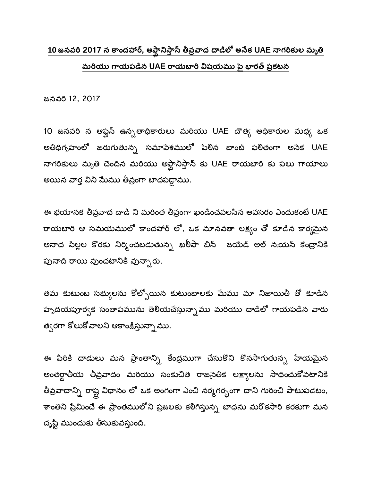## <u>10 జనవరి 2017 న కాందహార్, అఫ్ఘానిస్తాస్ తీవ్రవాద దాడిలో అనేక UAE నాగరికుల మృతి</u> మరియు గాయపడిన UAE రాయబారి విషయము పై భారత్ ప్రకటన

జనవరి 12, 2017

10 జనవరి న ఆఫ్ఘస్ ఉన్నతాధికారులు మరియు UAE దౌత్య అధికారుల మధ్య ఒక అతిధిగృహంలో జరుగుతున్న సమాపేశములో పేలిన బాంట్ ఫలితంగా అనేక UAE నాగరికులు మృతి చెందిన మరియు అఫ్ఘానిస్తాన్ కు UAE రాయబారి కు పలు గాయాలు అయిన వార్త విని మేము తీవ్రంగా బాధపడ్డాము.

ఈ భయానక తీవ్రవాద దాడి ని మరింత తీవ్రంగా ఖండించవలసిన అవసరం ఎందుకంటే UAE రాయబారి ఆ సమయములో కాందహార్ లో, ఒక మానవతా లక్ష్యం తో కూడిన కార్యమైన అనాధ పిల్లల కొరకు నిర్మించబడుతున్న ఖ<mark>రీ</mark>ఫా బిన్ జయేడ్ అల్ నఃయన్ కేంద్రానికి పునాది రాయి వుంచటానికి వున్నారు.

తమ కుటుంబ సభ్యులను కోల్పోయిన కుటుంబాలకు మేము మా నిజాయితీ తో కూడిన హృదయపూర్వక సంతాపమును తెలియచేస్తున్నాము మరియు దాడిలో గాయపడిన వారు త్వరగా కోలుకోవాలని ఆకాంక్షిస్తున్నాము.

ఈ పిరికి దాడులు మన ప్రాంతాన్ని కేంద్రముగా చేసుకొని కొనసాగుతున్న హేయమైన అంతర్జాతీయ తీవ్రవాదం మరియు సంకుచిత రాజనైతిక లక్ష్యాలను సాధించుకోవటానికి తీవ్రవాదాన్ని రాష్ట్ర విధానం లో ఒక అంగంగా ఎంచి నర్మగర్భంగా దాని గురించి పాటుపడటం, శాంతిని ప్రేమించే ఈ ప్రాంతములోని ప్రజలకు కలిగిస్తున్న బాధను మరొకసారి కరకుగా మన దృష్టి ముందుకు తీసుకువస్తుంది.